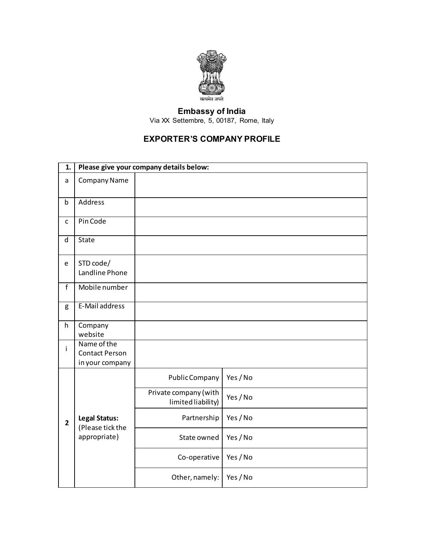

## **Embassy of India**

Via XX Settembre, 5, 00187, Rome, Italy

## **EXPORTER'S COMPANY PROFILE**

| 1.             | Please give your company details below:                  |                                             |          |  |  |
|----------------|----------------------------------------------------------|---------------------------------------------|----------|--|--|
| a              | <b>Company Name</b>                                      |                                             |          |  |  |
| $\mathsf b$    | Address                                                  |                                             |          |  |  |
| C              | Pin Code                                                 |                                             |          |  |  |
| d              | <b>State</b>                                             |                                             |          |  |  |
| e              | STD code/<br>Landline Phone                              |                                             |          |  |  |
| f              | Mobile number                                            |                                             |          |  |  |
| g              | E-Mail address                                           |                                             |          |  |  |
| h              | Company<br>website                                       |                                             |          |  |  |
| i.             | Name of the<br><b>Contact Person</b><br>in your company  |                                             |          |  |  |
|                | <b>Legal Status:</b><br>(Please tick the<br>appropriate) | Public Company                              | Yes / No |  |  |
|                |                                                          | Private company (with<br>limited liability) | Yes / No |  |  |
| $\overline{2}$ |                                                          | Partnership                                 | Yes / No |  |  |
|                |                                                          | State owned                                 | Yes / No |  |  |
|                |                                                          | Co-operative                                | Yes / No |  |  |
|                |                                                          | Other, namely:                              | Yes / No |  |  |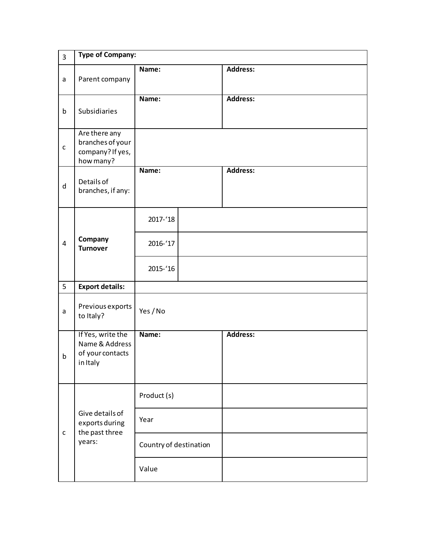| $\overline{3}$ | <b>Type of Company:</b>                                             |                        |                 |
|----------------|---------------------------------------------------------------------|------------------------|-----------------|
| a              | Parent company                                                      | Name:                  | <b>Address:</b> |
| $\mathsf b$    | Subsidiaries                                                        | Name:                  | <b>Address:</b> |
| $\mathsf{C}$   | Are there any<br>branches of your<br>company? If yes,<br>how many?  |                        |                 |
| $\sf d$        | Details of<br>branches, if any:                                     | Name:                  | Address:        |
|                |                                                                     | 2017-'18               |                 |
| $\overline{4}$ | Company<br><b>Turnover</b>                                          | 2016-'17               |                 |
|                |                                                                     | 2015-'16               |                 |
| 5              | <b>Export details:</b>                                              |                        |                 |
| a              | Previous exports<br>to Italy?                                       | Yes / No               |                 |
| b              | If Yes, write the<br>Name & Address<br>of your contacts<br>in Italy | Name:                  | <b>Address:</b> |
| $\mathsf{C}$   | Give details of<br>exports during<br>the past three<br>years:       | Product (s)            |                 |
|                |                                                                     | Year                   |                 |
|                |                                                                     | Country of destination |                 |
|                |                                                                     | Value                  |                 |